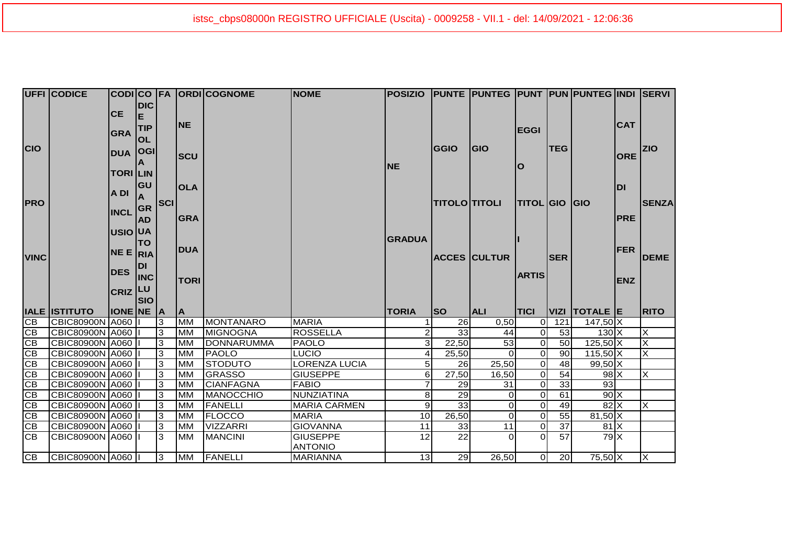|                              | <b>UFFI CODICE</b>     |                  |            |            |             | CODICO FA ORDICOGNOME | <b>NOME</b>          | POSIZIO PUNTE PUNTEG PUNT PUN PUNTEG INDI SERVI |                      |                     |                  |                 |               |            |                         |
|------------------------------|------------------------|------------------|------------|------------|-------------|-----------------------|----------------------|-------------------------------------------------|----------------------|---------------------|------------------|-----------------|---------------|------------|-------------------------|
|                              |                        |                  | <b>DIC</b> |            |             |                       |                      |                                                 |                      |                     |                  |                 |               |            |                         |
|                              |                        | <b>CE</b>        | E          |            |             |                       |                      |                                                 |                      |                     |                  |                 |               |            |                         |
|                              |                        |                  | <b>TIP</b> |            | <b>INE</b>  |                       |                      |                                                 |                      |                     | <b>EGGI</b>      |                 |               | <b>CAT</b> |                         |
|                              |                        | <b>GRA</b>       | <b>OL</b>  |            |             |                       |                      |                                                 |                      |                     |                  |                 |               |            |                         |
| <b>CIO</b>                   |                        |                  |            |            |             |                       |                      |                                                 | <b>GGIO</b>          | <b>GIO</b>          |                  | <b>TEG</b>      |               |            | <b>ZIO</b>              |
|                              |                        | <b>DUA</b>       | <b>OGI</b> |            | <b>SCU</b>  |                       |                      |                                                 |                      |                     |                  |                 |               | <b>ORE</b> |                         |
|                              |                        |                  |            |            |             |                       |                      | INE                                             |                      |                     | lO               |                 |               |            |                         |
|                              |                        | <b>TORI LIN</b>  |            |            |             |                       |                      |                                                 |                      |                     |                  |                 |               |            |                         |
|                              |                        |                  | <b>GU</b>  |            | <b>OLA</b>  |                       |                      |                                                 |                      |                     |                  |                 |               | <b>DI</b>  |                         |
|                              |                        | A DI             |            |            |             |                       |                      |                                                 |                      |                     |                  |                 |               |            |                         |
| <b>PRO</b>                   |                        |                  |            | <b>SCI</b> |             |                       |                      |                                                 | <b>TITOLO TITOLI</b> |                     | <b>TITOL GIO</b> |                 | <b>IGIO</b>   |            | <b>SENZA</b>            |
|                              |                        | INCL GR          |            |            | <b>GRA</b>  |                       |                      |                                                 |                      |                     |                  |                 |               | <b>PRE</b> |                         |
|                              |                        |                  | <b>AD</b>  |            |             |                       |                      |                                                 |                      |                     |                  |                 |               |            |                         |
|                              |                        | USIO UA          |            |            |             |                       |                      | <b>GRADUA</b>                                   |                      |                     |                  |                 |               |            |                         |
|                              |                        |                  | <b>TO</b>  |            | <b>DUA</b>  |                       |                      |                                                 |                      |                     |                  |                 |               |            |                         |
| <b>VINC</b>                  |                        | NE E RIA         |            |            |             |                       |                      |                                                 |                      | <b>ACCES CULTUR</b> |                  | <b>ISER</b>     |               | <b>FER</b> | <b>DEME</b>             |
|                              |                        |                  | <b>DI</b>  |            |             |                       |                      |                                                 |                      |                     |                  |                 |               |            |                         |
|                              |                        | <b>DES</b>       | <b>INC</b> |            |             |                       |                      |                                                 |                      |                     | <b>ARTIS</b>     |                 |               |            |                         |
|                              |                        |                  |            |            | <b>TORI</b> |                       |                      |                                                 |                      |                     |                  |                 |               | <b>ENZ</b> |                         |
|                              |                        | <b>CRIZ</b> LU   | <b>SIO</b> |            |             |                       |                      |                                                 |                      |                     |                  |                 |               |            |                         |
|                              |                        |                  |            |            |             |                       |                      |                                                 |                      |                     |                  |                 |               |            |                         |
|                              |                        |                  |            |            |             |                       |                      |                                                 |                      |                     |                  |                 |               |            |                         |
|                              | <b>IALE ISTITUTO</b>   | <b>IONE NE A</b> |            |            | <b>A</b>    |                       |                      | <b>TORIA</b>                                    | <b>SO</b>            | <b>ALI</b>          | <b>TICI</b>      |                 | VIZI TOTALE E |            | <b>RITO</b>             |
|                              | CBIC80900N A060        |                  |            | 3          | <b>MM</b>   | MONTANARO             | <b>MARIA</b>         |                                                 | 26                   | 0,50                | 0l               | 121             | $147,50$ X    |            |                         |
| CB                           | <b>CBIC80900N A060</b> |                  |            | 3          | <b>MM</b>   | <b>MIGNOGNA</b>       | <b>ROSSELLA</b>      | 2l                                              | 33                   | 44                  | $\Omega$         | 53              | $130 \times$  |            | $\overline{\mathsf{x}}$ |
| CB                           | CBIC80900N A060        |                  |            | 3          | <b>MM</b>   | DONNARUMMA            | <b>PAOLO</b>         | 31                                              | 22,50                | 53                  | $\Omega$         | 50              | $125,50$ X    |            | $\overline{\mathsf{x}}$ |
| CB                           | CBIC80900N A060        |                  |            | 3          | <b>MM</b>   | <b>PAOLO</b>          | <b>LUCIO</b>         | 4                                               | 25,50                |                     | $\Omega$         | 90              | $115,50$ X    |            | X                       |
| CB                           | CBIC80900N A060        |                  |            | IЗ         | <b>MM</b>   | <b>STODUTO</b>        | <b>LORENZA LUCIA</b> | 5 <sup>1</sup>                                  | 26                   | 25,50               | $\Omega$         | 48              | $99,50$ X     |            |                         |
| $\overline{\text{CB}}$<br>CB | CBIC80900N A060        |                  |            | 3          | <b>MM</b>   | <b>GRASSO</b>         | <b>GIUSEPPE</b>      | 6                                               | $\overline{27,50}$   | 16,50               | $\overline{0}$   | 54              | $98$ $X$      |            | X                       |
| CB                           | CBIC80900N A060        |                  |            | 3          | <b>MM</b>   | <b>CIANFAGNA</b>      | <b>FABIO</b>         |                                                 | 29                   | 31                  | $\overline{0}$   | 33              | 93            |            |                         |
| CB                           | CBIC80900N A060        |                  |            | IЗ         | <b>MM</b>   | <b>MANOCCHIO</b>      | NUNZIATINA           | 81                                              | 29                   | 0                   | $\Omega$         | 61              | $90$ X        |            |                         |
| CB                           | CBIC80900N A060        |                  |            | 3          | <b>MM</b>   | <b>FANELLI</b>        | <b>MARIA CARMEN</b>  | 9 <sub>l</sub>                                  | 33                   | 0                   | $\Omega$         | 49              | $82$ $X$      |            | X                       |
|                              | CBIC80900N A060        |                  |            | IЗ         | <b>MM</b>   | <b>FLOCCO</b>         | <b>MARIA</b>         | 10                                              | 26,50                | $\Omega$            | $\Omega$         | 55              | $81,50$ X     |            |                         |
| CB<br>$\overline{CB}$        | CBIC80900N A060        |                  |            | IЗ         | <b>MM</b>   | <b>VIZZARRI</b>       | <b>GIOVANNA</b>      | 11                                              | 33                   | 11                  | $\Omega$         | $\overline{37}$ | $81$ $X$      |            |                         |
| $\overline{CB}$              | CBIC80900N A060        |                  |            | 3          | <b>MM</b>   | <b>MANCINI</b>        | <b>GIUSEPPE</b>      | 12                                              | 22                   | 0                   | <sup>0</sup>     | 57              | $79$ X        |            |                         |
|                              |                        |                  |            |            |             |                       | <b>ANTONIO</b>       |                                                 |                      |                     |                  |                 |               |            |                         |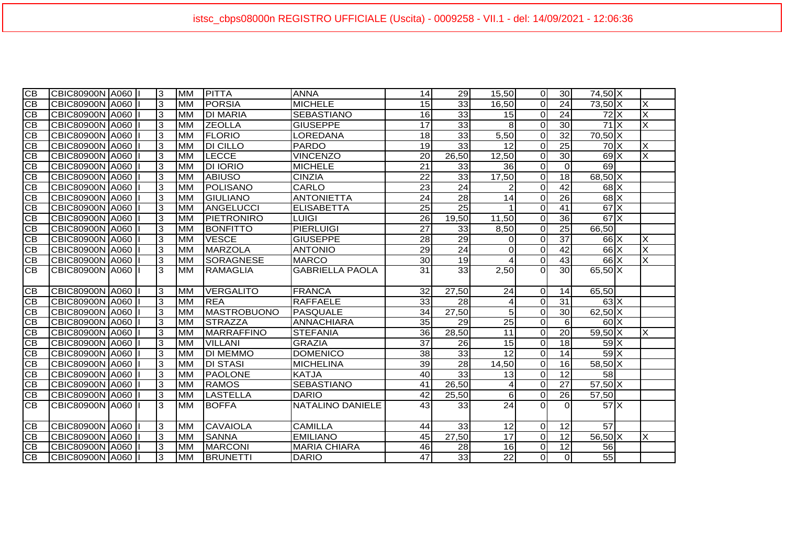| $\overline{CB}$ | CBIC80900N A060        |  | 3  | <b>MM</b> | PITTA              | <b>ANNA</b>             | 14              | 29              | 15.50           | $\Omega$    | 30              | 74,50 X       |   |
|-----------------|------------------------|--|----|-----------|--------------------|-------------------------|-----------------|-----------------|-----------------|-------------|-----------------|---------------|---|
| CВ              | CBIC80900N A060        |  | 3  | <b>MM</b> | <b>PORSIA</b>      | <b>MICHELE</b>          | 15              | 33              | 16,50           | $\Omega$    | $\overline{24}$ | 73,50 X       | X |
| <b>CB</b>       | CBIC80900N A060        |  | 3  | <b>MM</b> | <b>DI MARIA</b>    | <b>SEBASTIANO</b>       | 16              | 33              | 15              | $\Omega$    | 24              | $72$ $X$      | X |
| <b>CB</b>       | CBIC80900N A060        |  | 3  | <b>MM</b> | <b>ZEOLLA</b>      | <b>GIUSEPPE</b>         | 17              | 33              | 8               | $\Omega$    | 30              | $71$ $\times$ | X |
| <b>CB</b>       | CBIC80900N A060        |  | 3  | <b>MM</b> | <b>FLORIO</b>      | LOREDANA                | 18              | $\overline{33}$ | 5,50            | $\Omega$    | $\overline{32}$ | $70,50$ X     |   |
| CB              | CBIC80900N A060        |  | 3  | <b>MM</b> | <b>DI CILLO</b>    | <b>PARDO</b>            | 19              | 33              | 12              | $\Omega$    | $\overline{25}$ | $70$ $\times$ | X |
| <b>CB</b>       | CBIC80900N A060        |  | 3  | <b>MM</b> | <b>LECCE</b>       | <b>VINCENZO</b>         | 20              | 26,50           | 12,50           | $\Omega$    | 30              | $69$ $X$      | X |
| <b>CB</b>       | <b>CBIC80900N A060</b> |  | IЗ | <b>MM</b> | <b>DI IORIO</b>    | <b>MICHELE</b>          | $\overline{21}$ | 33              | 36              | $\mathbf 0$ | $\mathbf 0$     | 69            |   |
| <b>CB</b>       | CBIC80900N A060        |  | 3  | <b>MM</b> | <b>ABIUSO</b>      | <b>CINZIA</b>           | $\overline{22}$ | 33              | 17,50           | $\Omega$    | 18              | 68,50 X       |   |
| CB              | CBIC80900N A060        |  | 3  | <b>MM</b> | POLISANO           | CARLO                   | 23              | 24              |                 | $\Omega$    | 42              | $68$ $X$      |   |
| <b>CB</b>       | CBIC80900N A060        |  | 3  | <b>MM</b> | <b>GIULIANO</b>    | <b>ANTONIETTA</b>       | 24              | 28              | 14              | $\Omega$    | 26              | $68$ $X$      |   |
| <b>CB</b>       | CBIC80900N A060        |  | 3  | <b>MM</b> | ANGELUCCI          | <b>ELISABETTA</b>       | 25              | 25              |                 | $\Omega$    | 41              | $67$ $X$      |   |
| <b>CB</b>       | CBIC80900N A060        |  | 3  | <b>MM</b> | PIETRONIRO         | <b>LUIGI</b>            | 26              | 19,50           | 11,50           | $\Omega$    | 36              | $67$ $\times$ |   |
| CB              | CBIC80900N A060        |  | 3  | <b>MM</b> | <b>BONFITTO</b>    | <b>PIERLUIGI</b>        | $\overline{27}$ | $\overline{33}$ | 8,50            | $\Omega$    | $\overline{25}$ | 66,50         |   |
| <b>CB</b>       | CBIC80900N A060        |  | 3  | <b>MM</b> | <b>VESCE</b>       | <b>GIUSEPPE</b>         | $\overline{28}$ | 29              | 0               | $\Omega$    | $\overline{37}$ | $66$ $X$      | X |
| <b>CB</b>       | CBIC80900N A060        |  | 3  | <b>MM</b> | <b>MARZOLA</b>     | <b>ANTONIO</b>          | 29              | $\overline{24}$ | $\Omega$        | $\mathbf 0$ | 42              | $66$ $X$      | X |
| <b>CB</b>       | CBIC80900N A060        |  | 3  | <b>MM</b> | <b>SORAGNESE</b>   | <b>MARCO</b>            | 30              | 19              |                 | $\Omega$    | 43              | $66$ $X$      | X |
| <b>CB</b>       | CBIC80900N A060        |  | 3  | <b>MM</b> | <b>RAMAGLIA</b>    | <b>GABRIELLA PAOLA</b>  | $\overline{31}$ | 33              | 2,50            | $\Omega$    | 30              | $65,50$ X     |   |
|                 |                        |  |    |           |                    |                         |                 |                 |                 |             |                 |               |   |
| <b>CB</b>       | <b>CBIC80900N A060</b> |  | 3  | <b>MM</b> | VERGALITO          | <b>FRANCA</b>           | 32              | 27,50           | 24              | 0           | 14              | 65,50         |   |
| CВ              | CBIC80900N A060        |  | IЗ | <b>MM</b> | <b>REA</b>         | <b>RAFFAELE</b>         | 33              | 28              | 4               | $\Omega$    | 31              | $63\text{X}$  |   |
| <b>CB</b>       | CBIC80900N A060        |  | 3  | <b>MM</b> | <b>MASTROBUONO</b> | <b>PASQUALE</b>         | 34              | 27,50           | 5               | $\Omega$    | 30              | 62,50 X       |   |
| $\overline{CB}$ | CBIC80900N A060        |  | 3  | <b>MM</b> | <b>STRAZZA</b>     | <b>ANNACHIARA</b>       | 35              | 29              | 25              | $\Omega$    | 6               | $60\text{X}$  |   |
| <b>CB</b>       | CBIC80900N A060        |  | 3  | <b>MM</b> | <b>MARRAFFINO</b>  | <b>STEFANIA</b>         | 36              | 28,50           | 11              | $\Omega$    | $\overline{20}$ | $59,50$ X     | X |
| CB              | CBIC80900N A060        |  | 3  | <b>MM</b> | <b>VILLANI</b>     | <b>GRAZIA</b>           | 37              | 26              | 15              | $\mathbf 0$ | 18              | $59$ X        |   |
| $\overline{CB}$ | CBIC80900N A060        |  | 3  | <b>MM</b> | <b>DI MEMMO</b>    | <b>DOMENICO</b>         | 38              | 33              | 12              | $\Omega$    | $\overline{14}$ | $59$ X        |   |
| CB              | <b>CBIC80900N A060</b> |  | 3  | <b>MM</b> | <b>DI STASI</b>    | <b>MICHELINA</b>        | 39              | 28              | 14,50           | $\mathbf 0$ | 16              | $58,50$ X     |   |
| <b>CB</b>       | CBIC80900N A060        |  | 3  | <b>MM</b> | <b>PAOLONE</b>     | <b>KATJA</b>            | 40              | 33              | 13              | $\mathbf 0$ | 12              | 58            |   |
| <b>CB</b>       | <b>CBIC80900N A060</b> |  | 3  | <b>MM</b> | <b>RAMOS</b>       | <b>SEBASTIANO</b>       | 41              | 26,50           |                 | $\mathbf 0$ | 27              | $57,50$ X     |   |
| CB              | CBIC80900N A060        |  | 3  | <b>MM</b> | <b>LASTELLA</b>    | <b>DARIO</b>            | 42              | 25,50           | 6               | $\Omega$    | 26              | 57,50         |   |
| <b>CB</b>       | CBIC80900N A060        |  | 3  | <b>MM</b> | <b>BOFFA</b>       | <b>NATALINO DANIELE</b> | 43              | 33              | $\overline{24}$ | $\Omega$    | $\Omega$        | $571 \times$  |   |
|                 |                        |  |    |           |                    |                         |                 |                 |                 |             |                 |               |   |
| CВ              | CBIC80900N A060        |  | 3  | <b>MM</b> | <b>CAVAIOLA</b>    | <b>CAMILLA</b>          | 44              | 33              | 12              | $\mathbf 0$ | 12              | 57            |   |
| CB              | CBIC80900N A060        |  | 3  | <b>MM</b> | <b>SANNA</b>       | <b>EMILIANO</b>         | 45              | 27,50           | 17              | $\Omega$    | 12              | $56,50$ X     | X |
| <b>CB</b>       | CBIC80900N A060        |  | 3  | <b>MM</b> | <b>MARCONI</b>     | <b>MARIA CHIARA</b>     | 46              | 28              | 16              | $\mathbf 0$ | 12              | 56            |   |
| <b>CB</b>       | CBIC80900N A060        |  | 3  | <b>MM</b> | <b>BRUNETTI</b>    | <b>DARIO</b>            | 47              | 33              | 22              | $\Omega$    | $\Omega$        | 55            |   |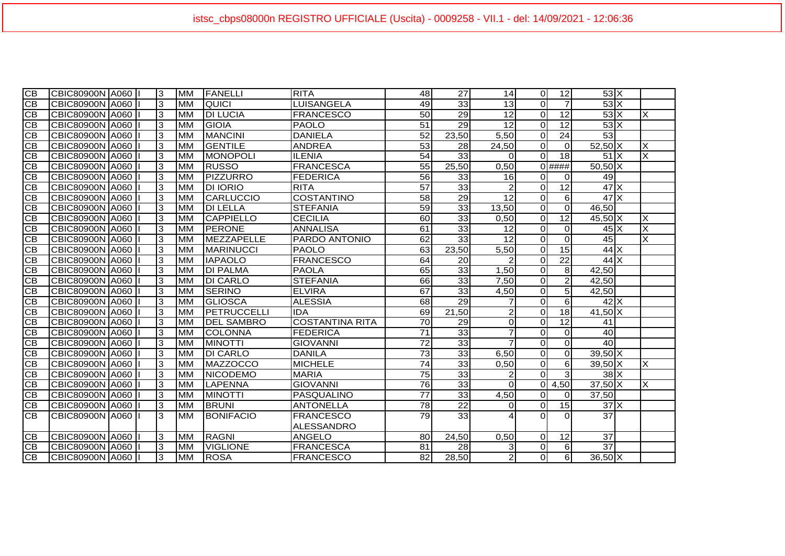| $\overline{CB}$ | CBIC80900N A060        |  | 3 | <b>MM</b> | <b>FANELLI</b>    | <b>RITA</b>            | 48              | 27              | 14              | $\Omega$       | 12              | $53\text{X}$                           |                         |
|-----------------|------------------------|--|---|-----------|-------------------|------------------------|-----------------|-----------------|-----------------|----------------|-----------------|----------------------------------------|-------------------------|
| CВ              | CBIC80900N A060        |  | 3 | <b>MM</b> | <b>QUICI</b>      | <b>LUISANGELA</b>      | 49              | 33              | 13              | $\Omega$       | $\overline{7}$  | 53X                                    |                         |
| CВ              | CBIC80900N A060        |  | 3 | <b>MM</b> | <b>DI LUCIA</b>   | <b>FRANCESCO</b>       | 50              | 29              | $\overline{12}$ | $\overline{0}$ | $\overline{12}$ | $53\overline{\times}$                  | X                       |
| <b>CB</b>       | CBIC80900N A060        |  | 3 | <b>MM</b> | <b>GIOIA</b>      | <b>PAOLO</b>           | 51              | 29              | 12              | $\Omega$       | 12              | $53\text{X}$                           |                         |
| <b>CB</b>       | CBIC80900N A060        |  | 3 | <b>MM</b> | <b>MANCINI</b>    | <b>DANIELA</b>         | $\overline{52}$ | 23,50           | 5,50            | $\Omega$       | 24              | 53                                     |                         |
| <b>CB</b>       | CBIC80900N A060        |  | 3 | <b>MM</b> | <b>GENTILE</b>    | <b>ANDREA</b>          | $\overline{53}$ | 28              | 24,50           | $\Omega$       | $\Omega$        | $52,50$ X                              | X                       |
| CB              | CBIC80900N A060        |  | 3 | <b>MM</b> | MONOPOLI          | <b>ILENIA</b>          | 54              | 33              | $\Omega$        | $\Omega$       | 18              | $51$ $X$                               | X                       |
| <b>CB</b>       | <b>CBIC80900N A060</b> |  | 3 | <b>MM</b> | <b>RUSSO</b>      | <b>FRANCESCA</b>       | 55              | 25,50           | 0,50            |                | $0$ ####        | $50,50$ X                              |                         |
| <b>CB</b>       | CBIC80900N A060        |  | 3 | <b>MM</b> | PIZZURRO          | <b>FEDERICA</b>        | 56              | 33              | 16              | $\Omega$       | $\Omega$        | 49                                     |                         |
| <b>CB</b>       | CBIC80900N A060        |  | 3 | <b>MM</b> | <b>DI IORIO</b>   | <b>RITA</b>            | $\overline{57}$ | 33              |                 | $\Omega$       | $\overline{12}$ | $47$ $\overline{\phantom{1}}$ $\times$ |                         |
| <b>CB</b>       | CBIC80900N A060        |  | 3 | <b>MM</b> | <b>CARLUCCIO</b>  | <b>COSTANTINO</b>      | 58              | 29              | 12              | $\Omega$       | $6 \mid$        | $47$ $X$                               |                         |
| <b>CB</b>       | CBIC80900N A060        |  | 3 | <b>MM</b> | <b>DI LELLA</b>   | <b>STEFANIA</b>        | 59              | 33              | 13,50           | $\Omega$       | $\Omega$        | 46,50                                  |                         |
| <b>CB</b>       | CBIC80900N A060        |  | 3 | <b>MM</b> | <b>CAPPIELLO</b>  | <b>CECILIA</b>         | 60              | 33              | 0,50            | $\overline{0}$ | $\overline{12}$ | $45,50$ X                              | X                       |
| <b>CB</b>       | CBIC80900N A060        |  | 3 | <b>MM</b> | <b>PERONE</b>     | <b>ANNALISA</b>        | 61              | 33              | 12              | $\Omega$       | $\Omega$        | $45\text{X}$                           | $\overline{\mathsf{x}}$ |
| <b>CB</b>       | CBIC80900N A060        |  | 3 | <b>MM</b> | <b>MEZZAPELLE</b> | PARDO ANTONIO          | 62              | 33              | $\overline{12}$ | $\Omega$       | $\Omega$        | 45                                     | X                       |
| <b>CB</b>       | CBIC80900N A060        |  | 3 | <b>MM</b> | <b>MARINUCCI</b>  | <b>PAOLO</b>           | 63              | 23,50           | 5,50            | $\Omega$       | 15              | $44$ $X$                               |                         |
| <b>CB</b>       | CBIC80900N A060        |  | 3 | <b>MM</b> | <b>IAPAOLO</b>    | <b>FRANCESCO</b>       | 64              | 20              |                 | $\overline{0}$ | 22              | $44$ $\times$                          |                         |
| CB              | CBIC80900N A060        |  | 3 | <b>MM</b> | <b>DI PALMA</b>   | <b>PAOLA</b>           | 65              | 33              | 1,50            | $\Omega$       | 8 <sup>1</sup>  | 42,50                                  |                         |
| <b>CB</b>       | CBIC80900N A060        |  | 3 | <b>MM</b> | <b>DI CARLO</b>   | <b>STEFANIA</b>        | 66              | 33              | 7,50            | $\Omega$       | 2               | 42.50                                  |                         |
| $\overline{CB}$ | CBIC80900N A060        |  | 3 | <b>MM</b> | <b>SERINO</b>     | <b>ELVIRA</b>          | 67              | 33              | 4,50            | $\overline{0}$ | $\overline{5}$  | 42,50                                  |                         |
| СB              | CBIC80900N A060        |  | 3 | <b>MM</b> | <b>GLIOSCA</b>    | <b>ALESSIA</b>         | 68              | 29              |                 | $\Omega$       | $6 \mid$        | $42\text{X}$                           |                         |
| <b>CB</b>       | CBIC80900N A060        |  | 3 | <b>MM</b> | PETRUCCELLI       | <b>IDA</b>             | 69              | 21,50           |                 | $\Omega$       | 18              | $41,50\overline{\text{X}}$             |                         |
| <b>CB</b>       | CBIC80900N A060        |  | 3 | <b>MM</b> | <b>DEL SAMBRO</b> | <b>COSTANTINA RITA</b> | 70              | 29              | $\Omega$        | $\Omega$       | 12              | 41                                     |                         |
| CB              | <b>CBIC80900N A060</b> |  | c | <b>MM</b> | <b>COLONNA</b>    | <b>FEDERICA</b>        | $\overline{71}$ | 33              |                 | $\Omega$       | $\Omega$        | 40                                     |                         |
| <b>CB</b>       | CBIC80900N A060        |  | 3 | <b>MM</b> | <b>MINOTTI</b>    | <b>GIOVANNI</b>        | $\overline{72}$ | 33              | $\overline{7}$  | $\overline{0}$ | $\overline{0}$  | 40                                     |                         |
| <b>CB</b>       | <b>CBIC80900N A060</b> |  | 3 | <b>MM</b> | <b>DI CARLO</b>   | <b>DANILA</b>          | $\overline{73}$ | 33              | 6,50            | $\overline{0}$ | $\overline{0}$  | $39,50$ X                              |                         |
| CB              | CBIC80900N A060        |  | c | <b>MM</b> | MAZZOCCO          | <b>MICHELE</b>         | 74              | 33              | 0,50            | $\Omega$       | $6 \mid$        | $39,50$ X                              | X                       |
| <b>CB</b>       | CBIC80900N A060        |  | 3 | <b>MM</b> | <b>NICODEMO</b>   | <b>MARIA</b>           | 75              | 33              |                 | $\Omega$       | $\mathbf{3}$    | $38$ $X$                               |                         |
| <b>CB</b>       | CBIC80900N A060        |  | 3 | <b>MM</b> | <b>LAPENNA</b>    | <b>GIOVANNI</b>        | 76              | 33              | $\Omega$        | $\overline{0}$ | 4,50            | $37,50$ X                              | X                       |
| CВ              | CBIC80900N A060        |  | 3 | <b>MM</b> | <b>MINOTTI</b>    | <b>PASQUALINO</b>      | $\overline{77}$ | 33              | 4,50            | $\Omega$       | $\overline{0}$  | 37,50                                  |                         |
| <b>CB</b>       | CBIC80900N A060        |  | 3 | <b>MM</b> | <b>BRUNI</b>      | <b>ANTONELLA</b>       | $\overline{78}$ | $\overline{22}$ | ΩI              | $\Omega$       | 15              | $37$ $\times$                          |                         |
| CB              | CBIC80900N A060   I    |  | 3 | <b>MM</b> | <b>BONIFACIO</b>  | <b>FRANCESCO</b>       | 79              | 33              |                 | $\Omega$       | $\Omega$        | $\overline{37}$                        |                         |
|                 |                        |  |   |           |                   | <b>ALESSANDRO</b>      |                 |                 |                 |                |                 |                                        |                         |
| CВ              | CBIC80900N A060        |  | 3 | <b>MM</b> | <b>RAGNI</b>      | <b>ANGELO</b>          | <b>80</b>       | 24,50           | 0,50            | $\Omega$       | 12              | 37                                     |                         |
| CB              | CBIC80900N A060        |  | 3 | <b>MM</b> | <b>VIGLIONE</b>   | <b>FRANCESCA</b>       | 81              | 28              | 3               | $\Omega$       | $6 \mid$        | $\overline{37}$                        |                         |
| <b>CB</b>       | CBIC80900N A060        |  | 3 | <b>MM</b> | <b>ROSA</b>       | <b>FRANCESCO</b>       | 82              | 28,50           | $\mathbf{2}$    | $\overline{0}$ | $6 \mid$        | $36,50$ X                              |                         |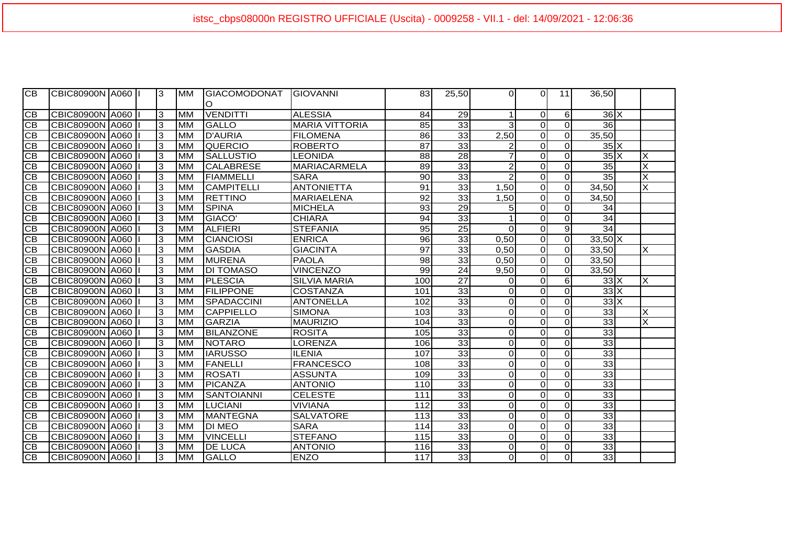| <b>CB</b>       | CBIC80900N A060 II  |  | 3  | <b>MM</b> | <b>GIACOMODONAT</b><br>$\circ$ | <b>IGIOVANNI</b>      | 83              | 25,50           | $\Omega$       | ΩI             | 11             | 36,50                 |   |
|-----------------|---------------------|--|----|-----------|--------------------------------|-----------------------|-----------------|-----------------|----------------|----------------|----------------|-----------------------|---|
| CВ              | CBIC80900N A060  I  |  | 3  | <b>MM</b> | <b>VENDITTI</b>                | <b>ALESSIA</b>        | 84              | 29              |                | $\overline{0}$ | 6              | $36\text{X}$          |   |
| <b>CB</b>       | CBIC80900N A060  I  |  | 3  | <b>MM</b> | <b>GALLO</b>                   | <b>MARIA VITTORIA</b> | 85              | 33              | 3              | $\Omega$       | $\Omega$       | 36                    |   |
| CB              | CBIC80900N A060   I |  | 3  | <b>MM</b> | <b>D'AURIA</b>                 | <b>FILOMENA</b>       | 86              | 33              | 2,50           | $\Omega$       | $\Omega$       | 35,50                 |   |
| <b>CB</b>       | CBIC80900N A060     |  | 3  | <b>MM</b> | <b>QUERCIO</b>                 | <b>ROBERTO</b>        | $\overline{87}$ | $\overline{33}$ |                | $\Omega$       | $\Omega$       | $35\overline{\times}$ |   |
| <b>CB</b>       | CBIC80900N A060     |  | 3  | <b>MM</b> | <b>SALLUSTIO</b>               | <b>LEONIDA</b>        | 88              | 28              |                | $\Omega$       | $\Omega$       | $35\overline{\times}$ | x |
| $\overline{CB}$ | CBIC80900N A060  I  |  | 3  | <b>MM</b> | <b>CALABRESE</b>               | <b>MARIACARMELA</b>   | $\overline{89}$ | 33              | $\overline{2}$ | $\Omega$       | $\Omega$       | 35                    | X |
| <b>CB</b>       | CBIC80900N A060  I  |  | 3  | <b>MM</b> | <b>FIAMMELLI</b>               | <b>SARA</b>           | 90              | 33              | $\mathfrak{p}$ | $\Omega$       | $\Omega$       | 35                    | X |
| <b>CB</b>       | CBIC80900N A060     |  | 3  | <b>MM</b> | <b>CAMPITELLI</b>              | <b>ANTONIETTA</b>     | 91              | 33              | 1,50           | $\Omega$       | $\Omega$       | 34,50                 | X |
| <b>CB</b>       | CBIC80900N A060     |  | 3  | <b>MM</b> | <b>RETTINO</b>                 | <b>MARIAELENA</b>     | $\overline{92}$ | $\overline{33}$ | 1,50           | $\Omega$       | $\Omega$       | 34,50                 |   |
| <b>CB</b>       | CBIC80900N A060     |  | 3  | <b>MM</b> | <b>SPINA</b>                   | <b>MICHELA</b>        | 93              | 29              | 51             | $\Omega$       | $\Omega$       | 34                    |   |
| <b>CB</b>       | CBIC80900N A060     |  | 3  | <b>MM</b> | GIACO'                         | <b>CHIARA</b>         | 94              | 33              |                | $\overline{0}$ | $\Omega$       | 34                    |   |
| <b>CB</b>       | CBIC80900N A060     |  | 3  | <b>MM</b> | <b>ALFIERI</b>                 | <b>STEFANIA</b>       | 95              | 25              | $\Omega$       | $\overline{O}$ | 9              | 34                    |   |
| $\overline{CB}$ | CBIC80900N A060     |  | ဇာ | <b>MM</b> | <b>CIANCIOSI</b>               | <b>ENRICA</b>         | $\overline{96}$ | 33              | 0,50           | $\overline{O}$ | $\overline{O}$ | $33,50$ X             |   |
| <b>CB</b>       | CBIC80900N A060  I  |  | 3  | <b>MM</b> | <b>GASDIA</b>                  | <b>GIACINTA</b>       | $\overline{97}$ | 33              | 0,50           | $\overline{0}$ | $\Omega$       | 33,50                 | X |
| <b>CB</b>       | CBIC80900N A060     |  | 3  | <b>MM</b> | <b>IMURENA</b>                 | <b>PAOLA</b>          | 98              | 33              | 0,50           | $\Omega$       | $\overline{0}$ | 33,50                 |   |
| CB              | CBIC80900N A060     |  | 3  | <b>MM</b> | <b>DI TOMASO</b>               | <b>VINCENZO</b>       | $\overline{99}$ | $\overline{24}$ | 9,50           | $\Omega$       | $\overline{O}$ | 33,50                 |   |
| CB              | CBIC80900N A060     |  | 3  | <b>MM</b> | <b>PLESCIA</b>                 | <b>SILVIA MARIA</b>   | 100             | $\overline{27}$ | $\Omega$       | $\Omega$       | $6 \mid$       | $33\text{X}$          | X |
| CВ              | CBIC80900N A060     |  | 3  | <b>MM</b> | <b>FILIPPONE</b>               | <b>COSTANZA</b>       | 101             | $\overline{33}$ | $\Omega$       | $\Omega$       | $\overline{O}$ | $33 \times$           |   |
| СB              | CBIC80900N A060  I  |  | 3  | <b>MM</b> | SPADACCINI                     | <b>ANTONELLA</b>      | 102             | $\overline{33}$ | $\Omega$       | $\overline{0}$ | $\Omega$       | $33\overline{\times}$ |   |
| <b>CB</b>       | CBIC80900N A060  I  |  | 3  | <b>MM</b> | <b>CAPPIELLO</b>               | <b>SIMONA</b>         | 103             | 33              | $\Omega$       | $\overline{0}$ | $\overline{0}$ | 33                    | X |
| <b>CB</b>       | CBIC80900N A060     |  | l3 | <b>MM</b> | <b>GARZIA</b>                  | <b>MAURIZIO</b>       | 104             | 33              | $\Omega$       | $\Omega$       | $\overline{O}$ | 33                    | X |
| СB              | CBIC80900N A060  I  |  | IЗ | <b>MM</b> | <b>BILANZONE</b>               | <b>ROSITA</b>         | 105             | 33              | $\Omega$       | $\Omega$       | $\Omega$       | 33                    |   |
| <b>CB</b>       | CBIC80900N A060  I  |  | ဇာ | <b>MM</b> | NOTARO                         | LORENZA               | 106             | $\overline{33}$ | $\Omega$       | $\overline{0}$ | $\overline{O}$ | 33                    |   |
| <b>CB</b>       | CBIC80900N A060     |  | 3  | <b>MM</b> | <b>IARUSSO</b>                 | <b>ILENIA</b>         | 107             | 33              | $\Omega$       | $\overline{0}$ | $\Omega$       | 33                    |   |
| CB              | CBIC80900N A060  I  |  | c  | <b>MM</b> | FANELLI                        | <b>FRANCESCO</b>      | 108             | 33              | $\Omega$       | $\overline{O}$ | $\overline{O}$ | 33                    |   |
| <b>CB</b>       | CBIC80900N A060  I  |  | 3  | <b>MM</b> | <b>ROSATI</b>                  | <b>ASSUNTA</b>        | 109             | 33              | $\Omega$       | $\overline{O}$ | $\Omega$       | 33                    |   |
| <b>CB</b>       | CBIC80900N A060     |  | 3  | <b>MM</b> | PICANZA                        | <b>ANTONIO</b>        | 110             | 33              | $\Omega$       | $\Omega$       | $\overline{0}$ | 33                    |   |
| <b>CB</b>       | CBIC80900N A060     |  | 3  | <b>MM</b> | <b>SANTOIANNI</b>              | <b>CELESTE</b>        | 111             | 33              | $\Omega$       | $\Omega$       | $\Omega$       | 33                    |   |
| CB              | CBIC80900N A060     |  | 3  | <b>MM</b> | <b>LUCIANI</b>                 | <b>VIVIANA</b>        | 112             | 33              | $\Omega$       | $\Omega$       | $\Omega$       | 33                    |   |
| <b>CB</b>       | CBIC80900N A060     |  | 3  | <b>MM</b> | <b>MANTEGNA</b>                | <b>SALVATORE</b>      | 113             | 33              | $\Omega$       | $\Omega$       | $\Omega$       | 33                    |   |
| <b>CB</b>       | CBIC80900N A060     |  | 3  | <b>MM</b> | <b>DI MEO</b>                  | <b>SARA</b>           | 114             | $\overline{33}$ | $\Omega$       | $\Omega$       | $\Omega$       | 33                    |   |
| <b>CB</b>       | CBIC80900N A060     |  | 3  | <b>MM</b> | <b>VINCELLI</b>                | <b>STEFANO</b>        | 115             | 33              | $\Omega$       | $\Omega$       | $\overline{O}$ | 33                    |   |
| <b>CB</b>       | CBIC80900N A060     |  | 3  | <b>MM</b> | <b>DE LUCA</b>                 | <b>ANTONIO</b>        | 116             | 33              | $\Omega$       | $\Omega$       | $\Omega$       | 33                    |   |
| CВ              | CBIC80900N A060  I  |  | 3  | <b>MM</b> | <b>GALLO</b>                   | <b>ENZO</b>           | 117             | 33              | Οl             | $\Omega$       | $\Omega$       | 33                    |   |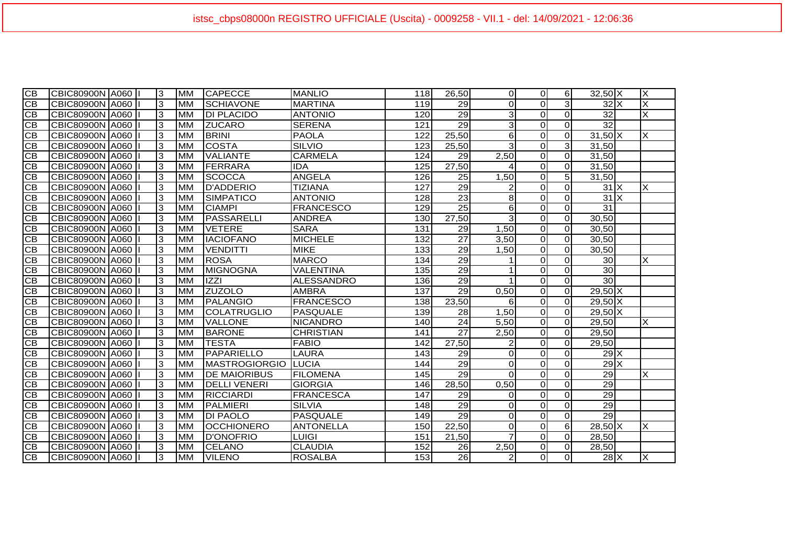| $\overline{CB}$ | CBIC80900N A060        | 3 | <b>MM</b> | <b>CAPECCE</b>       | <b>IMANLIO</b>    | 118 | 26,50           | $\Omega$       | $\Omega$    | 6              | $32,50$ X                              | X |
|-----------------|------------------------|---|-----------|----------------------|-------------------|-----|-----------------|----------------|-------------|----------------|----------------------------------------|---|
| CB              | CBIC80900N A060        | 3 | <b>MM</b> | <b>SCHIAVONE</b>     | <b>MARTINA</b>    | 119 | 29              | $\Omega$       | $\Omega$    | 3              | $32$ $X$                               | X |
| <b>CB</b>       | CBIC80900N A060        | 3 | <b>MM</b> | <b>DI PLACIDO</b>    | <b>ANTONIO</b>    | 120 | 29              | 3              | 0           | $\mathbf 0$    | 32                                     | X |
| $\overline{CB}$ | CBIC80900N A060        | 3 | <b>MM</b> | <b>ZUCARO</b>        | <b>SERENA</b>     | 121 | $\overline{29}$ | 3              | 0           | $\Omega$       | 32                                     |   |
| $\overline{CB}$ | CBIC80900N A060        | 3 | <b>MM</b> | <b>BRINI</b>         | <b>PAOLA</b>      | 122 | 25,50           | 6              | 0           | $\mathbf 0$    | $31,50$ X                              | X |
| $\overline{CB}$ | CBIC80900N A060        | 3 | <b>MM</b> | <b>COSTA</b>         | <b>SILVIO</b>     | 123 | 25,50           | 3              | $\Omega$    | 3              | 31,50                                  |   |
| <b>CB</b>       | CBIC80900N A060        | 3 | <b>MM</b> | <b>VALIANTE</b>      | <b>CARMELA</b>    | 124 | 29              | 2,50           | $\Omega$    | $\Omega$       | 31,50                                  |   |
| $\overline{CB}$ | CBIC80900N A060        | 3 | <b>MM</b> | FERRARA              | <b>IDA</b>        | 125 | 27,50           |                | $\mathbf 0$ | $\mathbf 0$    | 31,50                                  |   |
| <b>CB</b>       | CBIC80900N A060        | 3 | <b>MM</b> | <b>SCOCCA</b>        | <b>ANGELA</b>     | 126 | 25              | 1,50           | $\Omega$    | 5 <sub>l</sub> | 31,50                                  |   |
| CB              | CBIC80900N A060        | 3 | <b>MM</b> | D'ADDERIO            | <b>TIZIANA</b>    | 127 | 29              |                | 0           | $\Omega$       | $31$ $\overline{\phantom{1}}$ $\times$ | X |
| $\overline{CB}$ | CBIC80900N A060        | 3 | <b>MM</b> | <b>SIMPATICO</b>     | <b>ANTONIO</b>    | 128 | 23              | 8              | $\Omega$    | $\Omega$       | 31X                                    |   |
| CB              | CBIC80900N A060        | 3 | <b>MM</b> | <b>CIAMPI</b>        | <b>FRANCESCO</b>  | 129 | 25              | 6              | $\Omega$    | $\Omega$       | 31                                     |   |
| CB              | CBIC80900N A060        | 3 | <b>MM</b> | PASSARELLI           | <b>ANDREA</b>     | 130 | 27,50           | 3              | $\mathbf 0$ | $\mathbf 0$    | 30,50                                  |   |
| $\overline{CB}$ | CBIC80900N A060        | 3 | <b>MM</b> | <b>VETERE</b>        | <b>SARA</b>       | 131 | 29              | 1,50           | $\mathbf 0$ | $\mathbf 0$    | 30,50                                  |   |
| <b>CB</b>       | CBIC80900N A060        | 3 | <b>MM</b> | <b>IACIOFANO</b>     | <b>MICHELE</b>    | 132 | 27              | 3,50           | $\Omega$    | $\Omega$       | 30,50                                  |   |
| CB              | CBIC80900N A060        | 3 | <b>MM</b> | <b>VENDITTI</b>      | <b>MIKE</b>       | 133 | $\overline{29}$ | 1,50           | 0           | $\mathbf 0$    | 30,50                                  |   |
| <b>CB</b>       | CBIC80900N A060        | 3 | <b>MM</b> | <b>ROSA</b>          | <b>IMARCO</b>     | 134 | 29              |                | $\Omega$    | $\Omega$       | 30 <sup>1</sup>                        | X |
| CB              | <b>CBIC80900N A060</b> | 3 | <b>MM</b> | <b>MIGNOGNA</b>      | VALENTINA         | 135 | 29              |                | 0           | $\Omega$       | 30 <sub>o</sub>                        |   |
| $\overline{CB}$ | CBIC80900N A060        | 3 | <b>MM</b> | <b>IZZI</b>          | <b>ALESSANDRO</b> | 136 | 29              |                | 0           | $\mathbf 0$    | 30 <sub>o</sub>                        |   |
| $\overline{CB}$ | CBIC80900N A060        | 3 | <b>MM</b> | <b>ZUZOLO</b>        | <b>AMBRA</b>      | 137 | 29              | 0,50           | $\Omega$    | $\Omega$       | $29,50$ X                              |   |
| CB              | CBIC80900N A060        | 3 | <b>MM</b> | <b>PALANGIO</b>      | <b>FRANCESCO</b>  | 138 | 23,50           | 6              | 0           | $\mathbf 0$    | $29,50$ X                              |   |
| $\overline{CB}$ | CBIC80900N A060        | 3 | <b>MM</b> | <b>COLATRUGLIO</b>   | PASQUALE          | 139 | 28              | 1,50           | 0           | $\mathbf 0$    | $29,50$ X                              |   |
| <b>CB</b>       | CBIC80900N A060        | 3 | <b>MM</b> | <b>VALLONE</b>       | <b>NICANDRO</b>   | 140 | 24              | 5,50           | $\mathbf 0$ | $\Omega$       | 29,50                                  | X |
| СB              | <b>CBIC80900N A060</b> | 3 | <b>MM</b> | <b>BARONE</b>        | <b>CHRISTIAN</b>  | 141 | $\overline{27}$ | 2,50           | $\mathbf 0$ | $\Omega$       | 29,50                                  |   |
| $\overline{CB}$ | CBIC80900N A060        | 3 | <b>MM</b> | <b>TESTA</b>         | <b>FABIO</b>      | 142 | 27,50           |                | 0           | $\mathbf 0$    | 29,50                                  |   |
| $\overline{CB}$ | CBIC80900N A060        | 3 | <b>MM</b> | PAPARIELLO           | <b>LAURA</b>      | 143 | 29              | $\Omega$       | $\Omega$    | $\Omega$       | $29$ $X$                               |   |
| CB              | <b>CBIC80900N A060</b> | 3 | <b>MM</b> | <b>MASTROGIORGIO</b> | <b>LUCIA</b>      | 144 | 29              | $\Omega$       | $\Omega$    | $\Omega$       | 29X                                    |   |
| $\overline{CB}$ | CBIC80900N A060        | 3 | <b>MM</b> | <b>DE MAIORIBUS</b>  | <b>FILOMENA</b>   | 145 | $\overline{29}$ | $\Omega$       | $\mathbf 0$ | $\mathbf 0$    | $\overline{29}$                        | X |
| $\overline{CB}$ | CBIC80900N A060        | 3 | <b>MM</b> | <b>DELLI VENERI</b>  | <b>GIORGIA</b>    | 146 | 28,50           | 0,50           | $\mathbf 0$ | $\mathbf 0$    | $\overline{29}$                        |   |
| $\overline{CB}$ | CBIC80900N A060        | 3 | <b>MM</b> | <b>RICCIARDI</b>     | <b>FRANCESCA</b>  | 147 | 29              | $\Omega$       | $\mathbf 0$ | $\mathbf 0$    | 29                                     |   |
| <b>CB</b>       | CBIC80900N A060        | 3 | <b>MM</b> | <b>PALMIERI</b>      | <b>SILVIA</b>     | 148 | 29              | $\Omega$       | $\Omega$    | $\Omega$       | $\overline{29}$                        |   |
| <b>CB</b>       | CBIC80900N A060        | 3 | <b>MM</b> | <b>DI PAOLO</b>      | PASQUALE          | 149 | $\overline{29}$ | 0              | 0           | $\mathbf 0$    | $\overline{29}$                        |   |
| <b>CB</b>       | CBIC80900N A060        | 3 | <b>MM</b> | <b>OCCHIONERO</b>    | <b>ANTONELLA</b>  | 150 | 22,50           | $\Omega$       | 0           | 6              | $28,50$ X                              | X |
| <b>CB</b>       | CBIC80900N A060        | 3 | <b>MM</b> | <b>D'ONOFRIO</b>     | LUIGI             | 151 | 21,50           |                | $\Omega$    | $\Omega$       | 28,50                                  |   |
| CB              | CBIC80900N A060        | 3 | <b>MM</b> | <b>CELANO</b>        | <b>CLAUDIA</b>    | 152 | 26              | 2,50           | $\Omega$    | $\Omega$       | 28,50                                  |   |
| $\overline{CB}$ | CBIC80900N A060        | 3 | <b>MM</b> | <b>VILENO</b>        | <b>ROSALBA</b>    | 153 | 26              | $\overline{2}$ | 0           | $\Omega$       | $28$ $X$                               | X |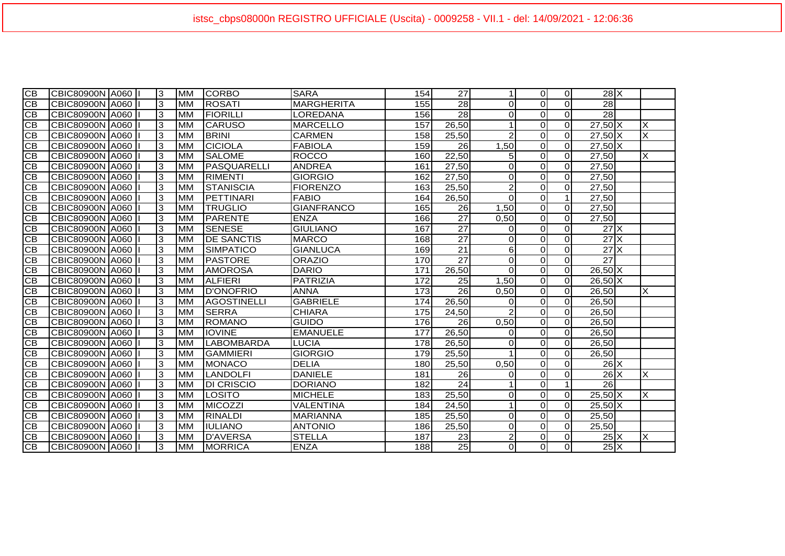| $\overline{C}$  | CBIC80900N A060 | 3  | <b>MM</b> | <b>CORBO</b>      | <b>SARA</b>       | 154 | 27              |                | $\Omega$       | <sup>o</sup>   | $28$ $\times$              |   |
|-----------------|-----------------|----|-----------|-------------------|-------------------|-----|-----------------|----------------|----------------|----------------|----------------------------|---|
| $\overline{CB}$ | CBIC80900N A060 | 3  | <b>MM</b> | <b>ROSATI</b>     | <b>MARGHERITA</b> | 155 | $\overline{28}$ | $\Omega$       | $\Omega$       | $\Omega$       | 28                         |   |
| <b>CB</b>       | CBIC80900N A060 | 3  | <b>MM</b> | <b>FIORILLI</b>   | LOREDANA          | 156 | $\overline{28}$ | $\Omega$       | $\Omega$       | $\overline{0}$ | 28                         |   |
| $\overline{CB}$ | CBIC80900N A060 | IЗ | <b>MM</b> | <b>CARUSO</b>     | <b>MARCELLO</b>   | 157 | 26,50           |                | $\Omega$       | $\overline{0}$ | $27,50$ X                  | X |
| $\overline{CB}$ | CBIC80900N A060 | 3  | <b>MM</b> | <b>BRINI</b>      | CARMEN            | 158 | 25,50           | $\mathcal{P}$  | $\Omega$       | $\Omega$       | $27,50$ X                  | X |
| $\overline{CB}$ | CBIC80900N A060 | 3  | <b>MM</b> | <b>CICIOLA</b>    | <b>FABIOLA</b>    | 159 | 26              | 1,50           | $\Omega$       | <sup>o</sup>   | $27,50$ X                  |   |
| $\overline{CB}$ | CBIC80900N A060 | 3  | <b>MM</b> | <b>SALOME</b>     | <b>ROCCO</b>      | 160 | 22,50           | 5 <sub>l</sub> | $\overline{0}$ | $\overline{0}$ | 27,50                      | X |
| <b>CB</b>       | CBIC80900N A060 | 3  | <b>MM</b> | PASQUARELLI       | <b>ANDREA</b>     | 161 | 27,50           | $\Omega$       | $\Omega$       | $\overline{0}$ | 27,50                      |   |
| <b>CB</b>       | CBIC80900N A060 | 3  | <b>MM</b> | <b>RIMENTI</b>    | <b>GIORGIO</b>    | 162 | 27,50           | $\Omega$       | $\Omega$       | $\overline{0}$ | 27,50                      |   |
| <b>CB</b>       | CBIC80900N A060 | 3  | <b>MM</b> | STANISCIA         | <b>FIORENZO</b>   | 163 | 25,50           | $\overline{2}$ | $\Omega$       | $\overline{0}$ | 27,50                      |   |
| $\overline{CB}$ | CBIC80900N A060 | 3  | <b>MM</b> | PETTINARI         | <b>FABIO</b>      | 164 | 26,50           | $\Omega$       | $\Omega$       | $\mathbf{1}$   | 27,50                      |   |
| $\overline{CB}$ | CBIC80900N A060 | 3  | <b>MM</b> | <b>TRUGLIO</b>    | <b>GIANFRANCO</b> | 165 | 26              | 1,50           | $\Omega$       | $\overline{0}$ | 27,50                      |   |
| $\overline{CB}$ | CBIC80900N A060 | 3  | <b>MM</b> | <b>PARENTE</b>    | <b>ENZA</b>       | 166 | $\overline{27}$ | 0,50           | $\Omega$       | $\overline{0}$ | 27,50                      |   |
| $\overline{CB}$ | CBIC80900N A060 | 3  | <b>MM</b> | <b>SENESE</b>     | <b>GIULIANO</b>   | 167 | 27              | $\Omega$       | $\Omega$       | $\Omega$       | $27$ $\times$              |   |
| CB              | CBIC80900N A060 | 3  | <b>MM</b> | <b>DE SANCTIS</b> | <b>MARCO</b>      | 168 | $\overline{27}$ | $\Omega$       | $\overline{0}$ | $\Omega$       | $27$ $\times$              |   |
| $\overline{CB}$ | CBIC80900N A060 | 3  | <b>MM</b> | <b>SIMPATICO</b>  | <b>GIANLUCA</b>   | 169 | $\overline{21}$ | 6              | $\Omega$       | $\overline{0}$ | $27$ $\times$              |   |
| <b>CB</b>       | CBIC80900N A060 | 3  | <b>MM</b> | <b>PASTORE</b>    | <b>ORAZIO</b>     | 170 | $\overline{27}$ | $\Omega$       | $\Omega$       | $\overline{0}$ | $\overline{27}$            |   |
| СB              | CBIC80900N A060 | 3  | <b>MM</b> | <b>AMOROSA</b>    | <b>DARIO</b>      | 171 | 26,50           | $\Omega$       | $\Omega$       | $\overline{0}$ | $26,50$ X                  |   |
| CB              | CBIC80900N A060 | 3  | <b>MM</b> | <b>ALFIERI</b>    | <b>PATRIZIA</b>   | 172 | 25              | 1,50           | $\Omega$       | $\Omega$       | $26,50$ $\overline{X}$     |   |
| $\overline{CB}$ | CBIC80900N A060 | 3  | <b>MM</b> | <b>D'ONOFRIO</b>  | <b>ANNA</b>       | 173 | 26              | 0,50           | $\Omega$       | $\overline{0}$ | 26,50                      | X |
| СB              | CBIC80900N A060 | 3  | <b>MM</b> | AGOSTINELLI       | <b>GABRIELE</b>   | 174 | 26,50           | $\Omega$       | $\Omega$       | $\Omega$       | 26,50                      |   |
| <b>CB</b>       | CBIC80900N A060 | 3  | <b>MM</b> | <b>SERRA</b>      | <b>CHIARA</b>     | 175 | 24,50           |                | $\Omega$       | $\overline{0}$ | 26,50                      |   |
| CB              | CBIC80900N A060 | 3  | <b>MM</b> | <b>ROMANO</b>     | <b>GUIDO</b>      | 176 | 26              | 0,50           | $\Omega$       | $\Omega$       | 26,50                      |   |
| CB              | CBIC80900N A060 | 3  | <b>MM</b> | <b>IOVINE</b>     | <b>EMANUELE</b>   | 177 | 26,50           | $\Omega$       | $\Omega$       | $\Omega$       | 26,50                      |   |
| <b>CB</b>       | CBIC80900N A060 | 3  | <b>MM</b> | <b>LABOMBARDA</b> | <b>LUCIA</b>      | 178 | 26,50           | $\Omega$       | $\Omega$       | $\overline{0}$ | 26,50                      |   |
| <b>CB</b>       | CBIC80900N A060 | 3  | <b>MM</b> | <b>GAMMIERI</b>   | <b>GIORGIO</b>    | 179 | 25,50           |                | $\Omega$       | $\overline{0}$ | 26,50                      |   |
| CB              | CBIC80900N A060 | 3  | <b>MM</b> | <b>MONACO</b>     | <b>DELIA</b>      | 180 | 25,50           | 0,50           | $\Omega$       | $\Omega$       | $26$ X                     |   |
| $\overline{CB}$ | CBIC80900N A060 | 3  | <b>MM</b> | <b>LANDOLFI</b>   | <b>DANIELE</b>    | 181 | 26              | $\Omega$       | $\Omega$       | $\Omega$       | $26$ $X$                   | X |
| <b>CB</b>       | CBIC80900N A060 | 3  | <b>MM</b> | <b>DI CRISCIO</b> | <b>DORIANO</b>    | 182 | 24              |                | $\Omega$       | $\mathbf{1}$   | $\overline{26}$            |   |
| CB              | CBIC80900N A060 | 3  | <b>MM</b> | LOSITO            | <b>MICHELE</b>    | 183 | 25,50           | $\Omega$       | $\Omega$       | $\overline{0}$ | $25,50$ X                  | X |
| <b>CB</b>       | CBIC80900N A060 | 3  | <b>MM</b> | MICOZZI           | VALENTINA         | 184 | 24,50           |                | $\Omega$       | $\overline{0}$ | $25,50$ X                  |   |
| <b>CB</b>       | CBIC80900N A060 | 3  | <b>MM</b> | <b>RINALDI</b>    | <b>MARIANNA</b>   | 185 | 25,50           | $\Omega$       | $\Omega$       | $\overline{0}$ | 25,50                      |   |
| <b>CB</b>       | CBIC80900N A060 | 3  | <b>MM</b> | <b>IULIANO</b>    | <b>ANTONIO</b>    | 186 | 25,50           | $\Omega$       | $\Omega$       | $\overline{0}$ | 25,50                      |   |
| CB              | CBIC80900N A060 | 3  | <b>MM</b> | <b>D'AVERSA</b>   | <b>STELLA</b>     | 187 | 23              | $\mathbf{2}$   | $\Omega$       | $\Omega$       | $25\text{X}$               | X |
| $\overline{CB}$ | CBIC80900N A060 | 3  | <b>MM</b> | <b>MORRICA</b>    | <b>ENZA</b>       | 188 | $\overline{25}$ | $\Omega$       | $\Omega$       | $\Omega$       | $25\overline{\phantom{a}}$ |   |